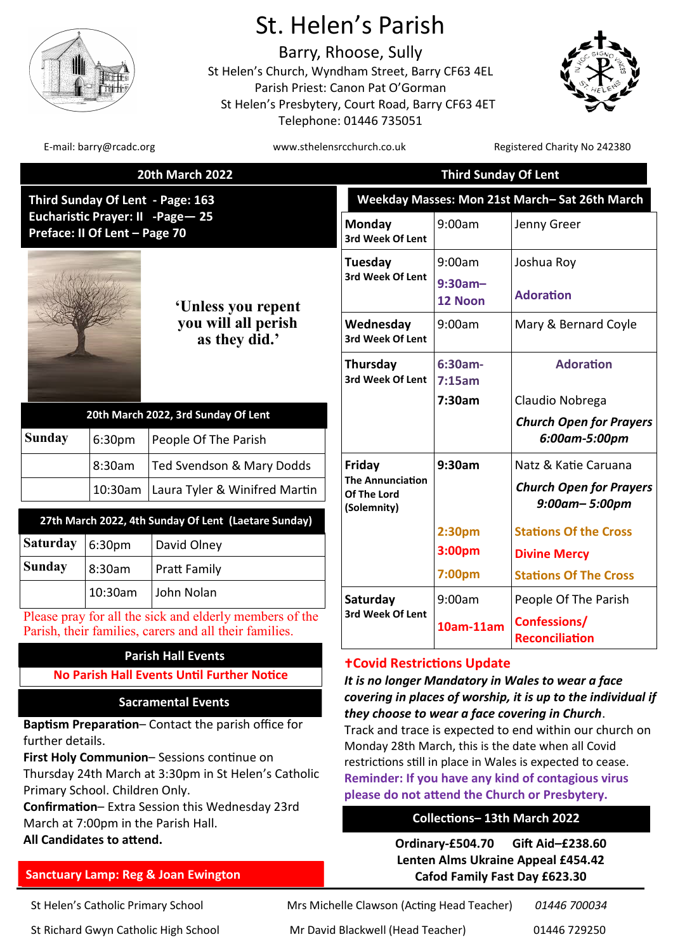

# St. Helen's Parish

Barry, Rhoose, Sully St Helen's Church, Wyndham Street, Barry CF63 4EL Parish Priest: Canon Pat O'Gorman St Helen's Presbytery, Court Road, Barry CF63 4ET Telephone: 01446 735051



E-mail: barry@rcadc.org www.sthelensrcchurch.co.uk Registered Charity No 242380

|                                                                    |                                | <b>20th March 2022</b>                                                                                            | <b>Third Sunday Of Lent</b>                                                                                                                                                                                                                                                                                                                                                                                                                                |                       |                                                        |  |
|--------------------------------------------------------------------|--------------------------------|-------------------------------------------------------------------------------------------------------------------|------------------------------------------------------------------------------------------------------------------------------------------------------------------------------------------------------------------------------------------------------------------------------------------------------------------------------------------------------------------------------------------------------------------------------------------------------------|-----------------------|--------------------------------------------------------|--|
|                                                                    |                                | Third Sunday Of Lent - Page: 163                                                                                  | Weekday Masses: Mon 21st March-Sat 26th March                                                                                                                                                                                                                                                                                                                                                                                                              |                       |                                                        |  |
| Eucharistic Prayer: II -Page - 25<br>Preface: II Of Lent - Page 70 |                                |                                                                                                                   | Monday<br>3rd Week Of Lent                                                                                                                                                                                                                                                                                                                                                                                                                                 | 9:00am                | Jenny Greer                                            |  |
|                                                                    |                                | 'Unless you repent<br>you will all perish<br>as they did.'                                                        | Tuesday<br>3rd Week Of Lent                                                                                                                                                                                                                                                                                                                                                                                                                                | 9:00am                | Joshua Roy                                             |  |
|                                                                    |                                |                                                                                                                   |                                                                                                                                                                                                                                                                                                                                                                                                                                                            | $9:30am -$<br>12 Noon | <b>Adoration</b>                                       |  |
|                                                                    |                                |                                                                                                                   | Wednesday<br>3rd Week Of Lent                                                                                                                                                                                                                                                                                                                                                                                                                              | 9:00am                | Mary & Bernard Coyle                                   |  |
|                                                                    |                                |                                                                                                                   | Thursday<br>3rd Week Of Lent                                                                                                                                                                                                                                                                                                                                                                                                                               | $6:30am-$<br>7:15am   | <b>Adoration</b>                                       |  |
|                                                                    |                                | 20th March 2022, 3rd Sunday Of Lent                                                                               |                                                                                                                                                                                                                                                                                                                                                                                                                                                            | 7:30am                | Claudio Nobrega                                        |  |
| Sunday                                                             | 6:30pm                         | People Of The Parish                                                                                              |                                                                                                                                                                                                                                                                                                                                                                                                                                                            |                       | <b>Church Open for Prayers</b><br>6:00am-5:00pm        |  |
|                                                                    | 8:30am                         | Ted Svendson & Mary Dodds                                                                                         | Friday                                                                                                                                                                                                                                                                                                                                                                                                                                                     | 9:30am                | Natz & Katie Caruana                                   |  |
|                                                                    | 10:30am                        | Laura Tyler & Winifred Martin                                                                                     | <b>The Annunciation</b><br>Of The Lord<br>(Solemnity)                                                                                                                                                                                                                                                                                                                                                                                                      |                       | <b>Church Open for Prayers</b><br>$9:00$ am- $5:00$ pm |  |
|                                                                    |                                | 27th March 2022, 4th Sunday Of Lent (Laetare Sunday)                                                              |                                                                                                                                                                                                                                                                                                                                                                                                                                                            | 2:30pm                | <b>Stations Of the Cross</b>                           |  |
| <b>Saturday</b>                                                    | 6:30pm                         | David Olney                                                                                                       |                                                                                                                                                                                                                                                                                                                                                                                                                                                            | 3:00pm                | <b>Divine Mercy</b>                                    |  |
| <b>Sunday</b>                                                      | 8:30am                         | Pratt Family                                                                                                      |                                                                                                                                                                                                                                                                                                                                                                                                                                                            | 7:00pm                | <b>Stations Of The Cross</b>                           |  |
|                                                                    | 10:30am                        | John Nolan                                                                                                        | Saturday                                                                                                                                                                                                                                                                                                                                                                                                                                                   | 9:00am                | People Of The Parish                                   |  |
|                                                                    |                                | Please pray for all the sick and elderly members of the<br>Parish, their families, carers and all their families. | 3rd Week Of Lent                                                                                                                                                                                                                                                                                                                                                                                                                                           | 10am-11am             | Confessions/<br><b>Reconciliation</b>                  |  |
|                                                                    |                                | <b>Parish Hall Events</b>                                                                                         | <b>+Covid Restrictions Update</b>                                                                                                                                                                                                                                                                                                                                                                                                                          |                       |                                                        |  |
|                                                                    |                                | <b>No Parish Hall Events Until Further Notice</b>                                                                 | It is no longer Mandatory in Wales to wear a face<br>covering in places of worship, it is up to the individual if<br>they choose to wear a face covering in Church.<br>Track and trace is expected to end within our church on<br>Monday 28th March, this is the date when all Covid<br>restrictions still in place in Wales is expected to cease.<br>Reminder: If you have any kind of contagious virus<br>please do not attend the Church or Presbytery. |                       |                                                        |  |
|                                                                    |                                | <b>Sacramental Events</b>                                                                                         |                                                                                                                                                                                                                                                                                                                                                                                                                                                            |                       |                                                        |  |
|                                                                    |                                | <b>Baptism Preparation-Contact the parish office for</b>                                                          |                                                                                                                                                                                                                                                                                                                                                                                                                                                            |                       |                                                        |  |
| further details.                                                   |                                |                                                                                                                   |                                                                                                                                                                                                                                                                                                                                                                                                                                                            |                       |                                                        |  |
|                                                                    |                                | First Holy Communion-Sessions continue on<br>Thursday 24th March at 3:30pm in St Helen's Catholic                 |                                                                                                                                                                                                                                                                                                                                                                                                                                                            |                       |                                                        |  |
|                                                                    | Primary School. Children Only. |                                                                                                                   |                                                                                                                                                                                                                                                                                                                                                                                                                                                            |                       |                                                        |  |
| Confirmation-Extra Session this Wednesday 23rd                     |                                |                                                                                                                   |                                                                                                                                                                                                                                                                                                                                                                                                                                                            |                       |                                                        |  |

# **Collections– 13th March 2022**

**All Candidates to attend. Ordinary-£504.70 Gift Aid–£238.60 Lenten Alms Ukraine Appeal £454.42 Cafod Family Fast Day £623.30**

**Sanctuary Lamp: Reg & Joan Ewington** 

March at 7:00pm in the Parish Hall.

St Richard Gwyn Catholic High School Mr David Blackwell (Head Teacher) 01446 729250

St Helen's Catholic Primary School Mrs Michelle Clawson (Acting Head Teacher) *01446 700034*